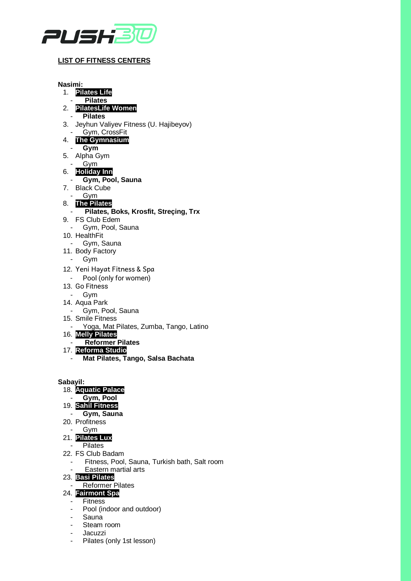

## **LIST OF FITNESS CENTERS**

**Nasimi:** 1. **Pilates Life**  - **Pilates** 2. **PilatesLife Women** - **Pilates**  3. Jeyhun Valiyev Fitness (U. Hajibeyov) - Gym, CrossFit 4. **The Gymnasium** - **Gym** 5. Alpha Gym - Gym 6. **Holiday Inn**  - **Gym, Pool, Sauna** 7. Black Cube - Gym 8. **The Pilates** - **Pilates, Boks, Krosfit, Streçing, Trx** 9. FS Club Edem - Gym, Pool, Sauna 10. HealthFit - Gym, Sauna 11. Body Factory - Gym 12. Yeni Həyat Fitness & Spa - Pool (only for women) 13. Go Fitness - Gym 14. Aqua Park - Gym, Pool, Sauna 15. Smile Fitness - Yoga, Mat Pilates, Zumba, Tango, Latino 16. **Melly Pilates** - **Reformer Pilates** 17. **Reforma Studio** - **Mat Pilates, Tango, Salsa Bachata Sabayil:** 18. **Aquatic Palace**

- **Gym, Pool**
- 19. **Sahil Fitness**
- **Gym, Sauna**
- 20. Profitness
- Gym

## 21. **Pilates Lux**

- **Pilates**
- 22. FS Club Badam
	- Fitness, Pool, Sauna, Turkish bath, Salt room
	- Eastern martial arts

## 23. **Basi Pilates**

## **Reformer Pilates**

- 24. **Fairmont Spa**
	- Fitness
	- Pool (indoor and outdoor)
	- Sauna
	- Steam room
	- **Jacuzzi**
	- Pilates (only 1st lesson)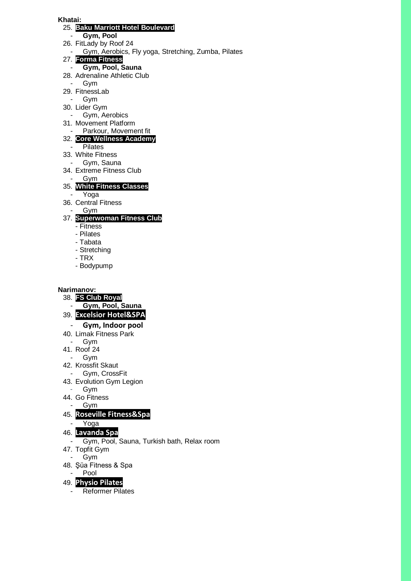#### **Khatai:**

### 25. **Baku Marriott Hotel Boulevard**

- **Gym, Pool**
- 26. FitLady by Roof 24
- Gym, Aerobics, Fly yoga, Stretching, Zumba, Pilates
- 27. **Forma Fitness** 
	- **Gym, Pool, Sauna**
- 28. Adrenaline Athletic Club
- Gym 29. FitnessLab
- Gym
- 30. Lider Gym
- Gym, Aerobics
- 31. Movement Platform
- Parkour, Movement fit
- 32. **Core Wellness Academy**
	- **Pilates**
- 33. White Fitness
- Gym, Sauna
- 34. Extreme Fitness Club
- Gym
- 35. **White Fitness Classes**
- Yoga
- 36. Central Fitness
- Gym

# 37. **Superwoman Fitness Club**

- Fitness
- Pilates
- Tabata
- Stretching
- TRX
- Bodypump

## **Narimanov:**

- 38. **FS Club Royal**
	- **Gym, Pool, Sauna**
- 39. **Excelsior Hotel&SPA**
	- **Gym, Indoor pool**
- 40. Limak Fitness Park
	- Gym
- 41. Roof 24
	- Gym
- 42. Krossfit Skaut
- Gym, CrossFit
- 43. Evolution Gym Legion
- **Gym**
- 44. Go Fitness
- Gym
- 45. **Roseville Fitness&Spa**
- Yoga
- 46. **Lavanda Spa**
- Gym, Pool, Sauna, Turkish bath, Relax room
- 47. Topfit Gym
- Gym
- 48. Şüa Fitness & Spa
- Pool
- 49. **Physio Pilates**
	- Reformer Pilates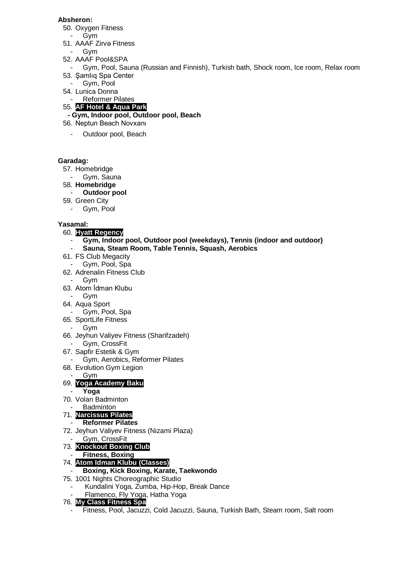## **Absheron:**

- 50. Oxygen Fitness
- Gym 51. AAAF Zirvə Fitness
- Gym
- 52. AAAF Pool&SPA
- Gym, Pool, Sauna (Russian and Finnish), Turkish bath, Shock room, Ice room, Relax room 53. Şamlıq Spa Center
- Gym, Pool
- 54. Lunica Donna
- Reformer Pilates
- 55. **AF Hotel & Aqua Park**
- **- Gym, Indoor pool, Outdoor pool, Beach**
- 56. Neptun Beach Novxanı
	- Outdoor pool, Beach

## **Garadag:**

- 57. Homebridge
- Gym, Sauna
- 58. **Homebridge**
- **Outdoor pool**
- 59. Green City
	- Gym, Pool

## **Yasamal:**

- 60. **Hyatt Regency**
	- **Gym, Indoor pool, Outdoor pool (weekdays), Tennis (indoor and outdoor)**
	- **Sauna, Steam Room, Table Tennis, Squash, Aerobics**
- 61. FS Club Megacity
- Gym, Pool, Spa
- 62. Adrenalin Fitness Club
	- Gym
- 63. Atom İdman Klubu
- Gym
- 64. Aqua Sport
- Gym, Pool, Spa
- 65. SportLife Fitness
	- Gym
- 66. Jeyhun Valiyev Fitness (Sharifzadeh)
- Gym, CrossFit
- 67. Sapfir Estetik & Gym
- Gym, Aerobics, Reformer Pilates
- 68. Evolution Gym Legion
- Gvm

# 69. **Yoga Academy Baku**

- **Yoga**
- 70. Volan Badminton

# **Badminton**

- 71. **Narcissus Pilates** - **Reformer Pilates**
- 72. Jeyhun Valiyev Fitness (Nizami Plaza)
- Gym, CrossFit

# 73. **Knockout Boxing Club**

- **Fitness, Boxing**
- 74. **Atom Idman Klubu (Classes)**
- **Boxing, Kick Boxing, Karate, Taekwondo**
- 75. 1001 Nights Choreographic Studio
	- Kundalini Yoga, Zumba, Hip-Hop, Break Dance
	- Flamenco, Fly Yoga, Hatha Yoga

## 76. **My Class Fitness Spa**

- Fitness, Pool, Jacuzzi, Cold Jacuzzi, Sauna, Turkish Bath, Steam room, Salt room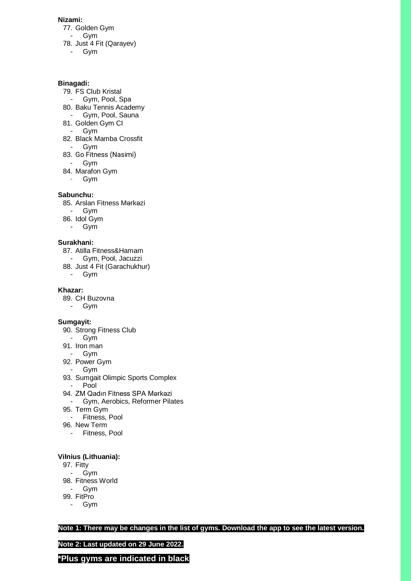### **Nizami:**

- 77. Golden Gym
- Gym 78. Just 4 Fit (Qarayev)
	- Gym

#### **Binagadi:**

- 79. FS Club Kristal
- Gym, Pool, Spa
- 80. Baku Tennis Academy
- Gym, Pool, Sauna
- 81. Golden Gym CI
- Gym
- 82. Black Mamba Crossfit
- Gym
- 83. Go Fitness (Nasimi)
	- Gym
- 84. Marafon Gym
	- Gym

### **Sabunchu:**

- 85. Arslan Fitness Mərkəzi
- Gym
- 86. Idol Gym
- Gym

### **Surakhani:**

- 87. Atilla Fitness&Hamam
- Gym, Pool, Jacuzzi
- 88. Just 4 Fit (Garachukhur)
- Gym

### **Khazar:**

- 89. CH Buzovna
- Gym

### **Sumgayit:**

- 90. Strong Fitness Club
- Gym
- 91. Iron man
- Gym
- 92. Power Gym
- Gym
- 93. Sumgait Olimpic Sports Complex
- Pool
- 94. ZM Qadın Fitness SPA Mərkəzi
- Gym, Aerobics, Reformer Pilates
- 95. Term Gym
- Fitness, Pool
- 96. New Term
- Fitness, Pool

### **Vilnius (Lithuania):**

- 97. Fitty
- Gym
- 98. Fitness World
- Gym
- 99. FitPro
	- Gym

**Note 1: There may be changes in the list of gyms. Download the app to see the latest version.**

**Note 2: Last updated on 29 June 2022.**

**\*Plus gyms are indicated in black**